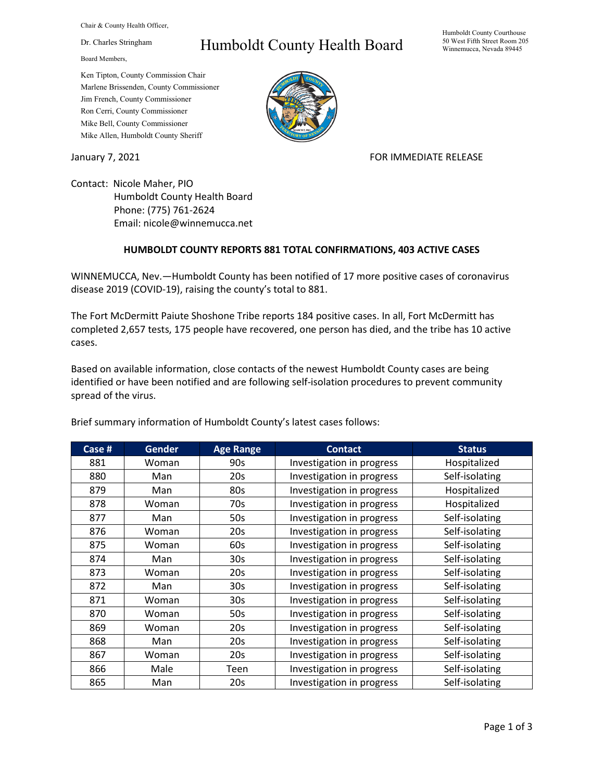Chair & County Health Officer,

Dr. Charles Stringham

Board Members,

## Humboldt County Health Board

Humboldt County Courthouse 50 West Fifth Street Room 205 Winnemucca, Nevada 89445

Ken Tipton, County Commission Chair Marlene Brissenden, County Commissioner Jim French, County Commissioner Ron Cerri, County Commissioner Mike Bell, County Commissioner Mike Allen, Humboldt County Sheriff

January 7, 2021 **FOR IMMEDIATE RELEASE** 

Contact: Nicole Maher, PIO Humboldt County Health Board Phone: (775) 761-2624 Email: nicole@winnemucca.net

## **HUMBOLDT COUNTY REPORTS 881 TOTAL CONFIRMATIONS, 403 ACTIVE CASES**

WINNEMUCCA, Nev.—Humboldt County has been notified of 17 more positive cases of coronavirus disease 2019 (COVID-19), raising the county's total to 881.

The Fort McDermitt Paiute Shoshone Tribe reports 184 positive cases. In all, Fort McDermitt has completed 2,657 tests, 175 people have recovered, one person has died, and the tribe has 10 active cases.

Based on available information, close contacts of the newest Humboldt County cases are being identified or have been notified and are following self-isolation procedures to prevent community spread of the virus.

| Case # | <b>Gender</b> | <b>Age Range</b> | <b>Contact</b>            | <b>Status</b>  |
|--------|---------------|------------------|---------------------------|----------------|
| 881    | Woman         | 90s              | Investigation in progress | Hospitalized   |
| 880    | Man           | 20s              | Investigation in progress | Self-isolating |
| 879    | Man           | 80s              | Investigation in progress | Hospitalized   |
| 878    | Woman         | 70s              | Investigation in progress | Hospitalized   |
| 877    | Man           | 50s              | Investigation in progress | Self-isolating |
| 876    | Woman         | 20s              | Investigation in progress | Self-isolating |
| 875    | Woman         | 60s              | Investigation in progress | Self-isolating |
| 874    | Man           | 30s              | Investigation in progress | Self-isolating |
| 873    | Woman         | 20s              | Investigation in progress | Self-isolating |
| 872    | Man           | 30s              | Investigation in progress | Self-isolating |
| 871    | Woman         | 30s              | Investigation in progress | Self-isolating |
| 870    | Woman         | 50s              | Investigation in progress | Self-isolating |
| 869    | Woman         | 20s              | Investigation in progress | Self-isolating |
| 868    | Man           | 20s              | Investigation in progress | Self-isolating |
| 867    | Woman         | 20s              | Investigation in progress | Self-isolating |
| 866    | Male          | Teen             | Investigation in progress | Self-isolating |
| 865    | Man           | 20s              | Investigation in progress | Self-isolating |

Brief summary information of Humboldt County's latest cases follows: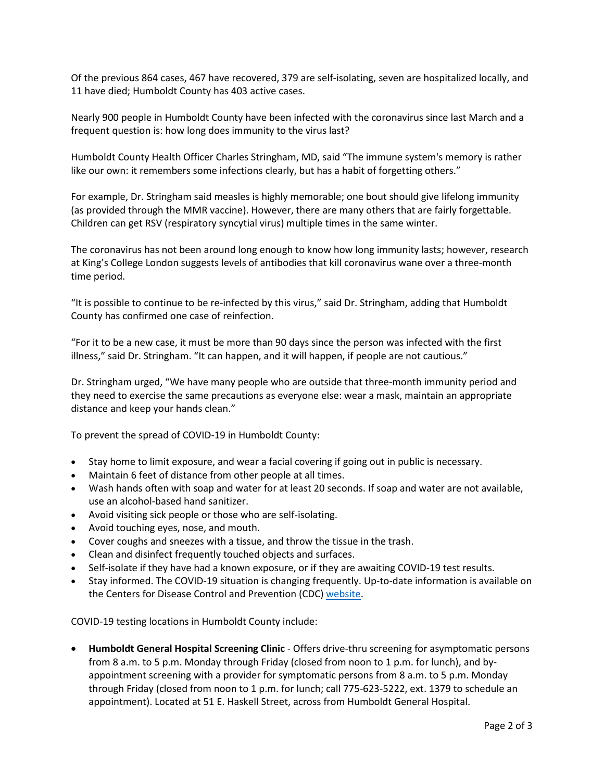Of the previous 864 cases, 467 have recovered, 379 are self-isolating, seven are hospitalized locally, and 11 have died; Humboldt County has 403 active cases.

Nearly 900 people in Humboldt County have been infected with the coronavirus since last March and a frequent question is: how long does immunity to the virus last?

Humboldt County Health Officer Charles Stringham, MD, said "The immune system's memory is rather like our own: it remembers some infections clearly, but has a habit of forgetting others."

For example, Dr. Stringham said measles is highly memorable; one bout should give lifelong immunity (as provided through the MMR vaccine). However, there are many others that are fairly forgettable. Children can get RSV (respiratory syncytial virus) multiple times in the same winter.

The coronavirus has not been around long enough to know how long immunity lasts; however, research at King's College London suggests levels of antibodies that kill coronavirus wane over a three-month time period.

"It is possible to continue to be re-infected by this virus," said Dr. Stringham, adding that Humboldt County has confirmed one case of reinfection.

"For it to be a new case, it must be more than 90 days since the person was infected with the first illness," said Dr. Stringham. "It can happen, and it will happen, if people are not cautious."

Dr. Stringham urged, "We have many people who are outside that three-month immunity period and they need to exercise the same precautions as everyone else: wear a mask, maintain an appropriate distance and keep your hands clean."

To prevent the spread of COVID-19 in Humboldt County:

- Stay home to limit exposure, and wear a facial covering if going out in public is necessary.
- Maintain 6 feet of distance from other people at all times.
- Wash hands often with soap and water for at least 20 seconds. If soap and water are not available, use an alcohol-based hand sanitizer.
- Avoid visiting sick people or those who are self-isolating.
- Avoid touching eyes, nose, and mouth.
- Cover coughs and sneezes with a tissue, and throw the tissue in the trash.
- Clean and disinfect frequently touched objects and surfaces.
- Self-isolate if they have had a known exposure, or if they are awaiting COVID-19 test results.
- Stay informed. The COVID-19 situation is changing frequently. Up-to-date information is available on the Centers for Disease Control and Prevention (CDC) [website.](http://www.cdc.gov/coronavirus/2019-ncov/index.html)

COVID-19 testing locations in Humboldt County include:

• **Humboldt General Hospital Screening Clinic** - Offers drive-thru screening for asymptomatic persons from 8 a.m. to 5 p.m. Monday through Friday (closed from noon to 1 p.m. for lunch), and byappointment screening with a provider for symptomatic persons from 8 a.m. to 5 p.m. Monday through Friday (closed from noon to 1 p.m. for lunch; call 775-623-5222, ext. 1379 to schedule an appointment). Located at 51 E. Haskell Street, across from Humboldt General Hospital.